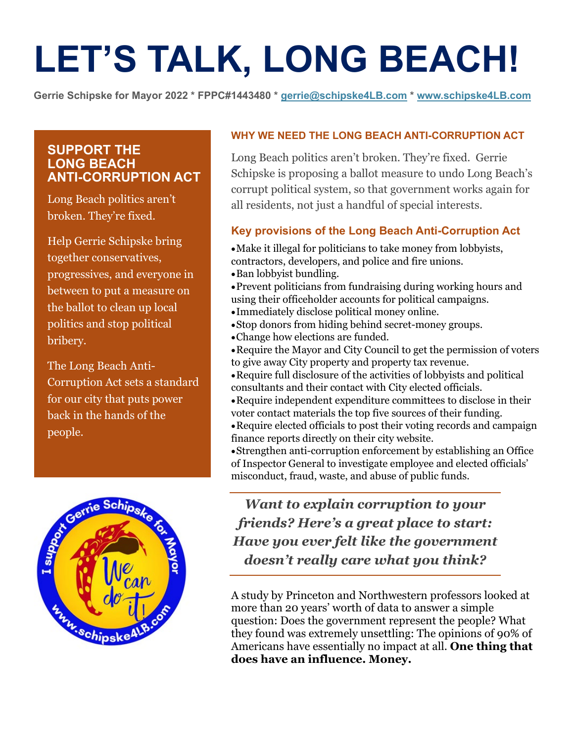# **LET'S TALK, LONG BEACH!**

**Gerrie Schipske for Mayor 2022 \* FPPC#1443480 \* [gerrie@schipske4LB.com](mailto:gerrie@schipske4LB.com) \* [www.schipske4LB.com](http://www.schipske4lb.com/)**

## **SUPPORT THE LONG BEACH ANTI-CORRUPTION ACT**

Long Beach politics aren't broken. They're fixed.

Help Gerrie Schipske bring together conservatives, progressives, and everyone in between to put a measure on the ballot to clean up local politics and stop political bribery.

The Long Beach Anti-Corruption Act sets a standard for our city that puts power back in the hands of the people.



#### **WHY WE NEED THE LONG BEACH ANTI-CORRUPTION ACT**

Long Beach politics aren't broken. They're fixed. Gerrie Schipske is proposing a ballot measure to undo Long Beach's corrupt political system, so that government works again for all residents, not just a handful of special interests.

#### **Key provisions of the Long Beach Anti-Corruption Act**

•Make it illegal for politicians to take money from lobbyists, contractors, developers, and police and fire unions.

•Ban lobbyist bundling.

•Prevent politicians from fundraising during working hours and using their officeholder accounts for political campaigns.

- •Immediately disclose political money online.
- •Stop donors from hiding behind secret-money groups.
- •Change how elections are funded.
- •Require the Mayor and City Council to get the permission of voters to give away City property and property tax revenue.
- •Require full disclosure of the activities of lobbyists and political consultants and their contact with City elected officials.
- •Require independent expenditure committees to disclose in their voter contact materials the top five sources of their funding.
- •Require elected officials to post their voting records and campaign finance reports directly on their city website.
- •Strengthen anti-corruption enforcement by establishing an Office of Inspector General to investigate employee and elected officials' misconduct, fraud, waste, and abuse of public funds.

# *Want to explain corruption to your friends? Here's a great place to start: Have you ever felt like the government doesn't really care what you think?*

A study by Princeton and Northwestern professors looked at more than 20 years' worth of data to answer a simple question: Does the government represent the people? What they found was extremely unsettling: The opinions of 90% of Americans have essentially no impact at all. **One thing that does have an influence. Money.**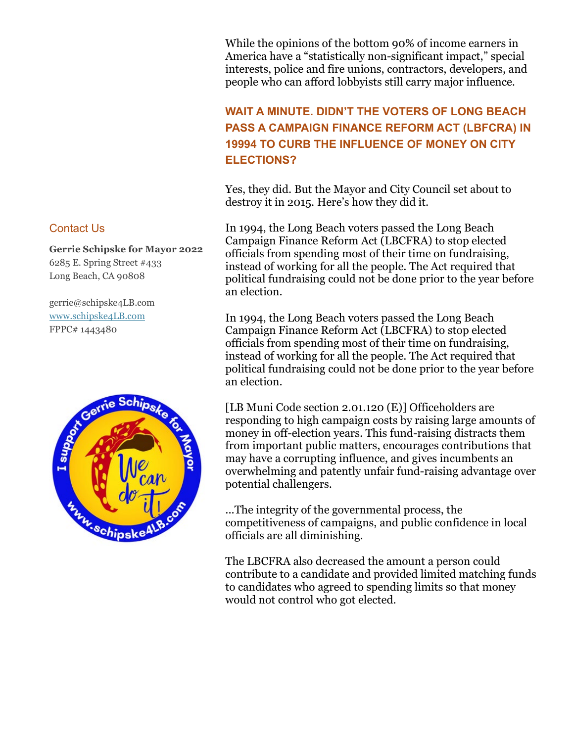While the opinions of the bottom 90% of income earners in America have a "statistically non-significant impact," special interests, police and fire unions, contractors, developers, and people who can afford lobbyists still carry major influence.

# **WAIT A MINUTE. DIDN'T THE VOTERS OF LONG BEACH PASS A CAMPAIGN FINANCE REFORM ACT (LBFCRA) IN 19994 TO CURB THE INFLUENCE OF MONEY ON CITY ELECTIONS?**

Yes, they did. But the Mayor and City Council set about to destroy it in 2015. Here's how they did it.

In 1994, the Long Beach voters passed the Long Beach Campaign Finance Reform Act (LBCFRA) to stop elected officials from spending most of their time on fundraising, instead of working for all the people. The Act required that political fundraising could not be done prior to the year before an election.

In 1994, the Long Beach voters passed the Long Beach Campaign Finance Reform Act (LBCFRA) to stop elected officials from spending most of their time on fundraising, instead of working for all the people. The Act required that political fundraising could not be done prior to the year before an election.

[LB Muni Code section 2.01.120 (E)] Officeholders are responding to high campaign costs by raising large amounts of money in off-election years. This fund-raising distracts them from important public matters, encourages contributions that may have a corrupting influence, and gives incumbents an overwhelming and patently unfair fund-raising advantage over potential challengers.

...The integrity of the governmental process, the competitiveness of campaigns, and public confidence in local officials are all diminishing.

The LBCFRA also decreased the amount a person could contribute to a candidate and provided limited matching funds to candidates who agreed to spending limits so that money would not control who got elected.

#### Contact Us

**Gerrie Schipske for Mayor 2022** 6285 E. Spring Street #433 Long Beach, CA 90808

gerrie@schipske4LB.com [www.schipske4LB.com](http://www.schipske4lb.com/) FPPC# 1443480

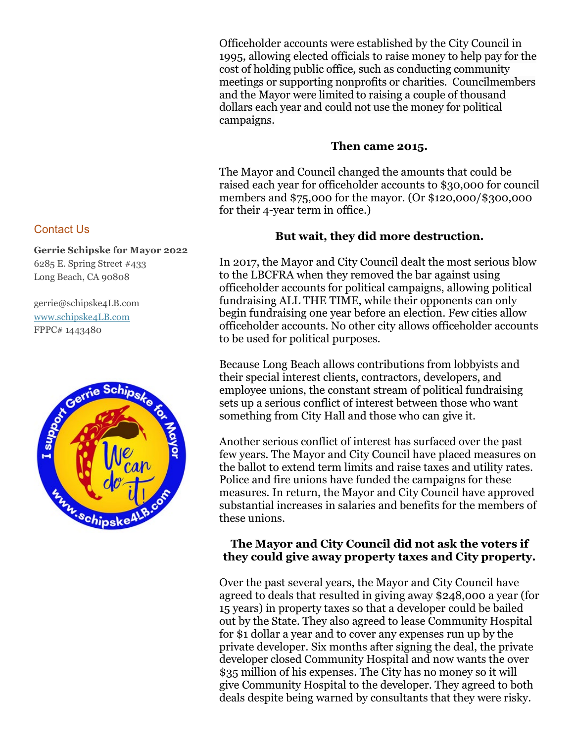Officeholder accounts were established by the City Council in 1995, allowing elected officials to raise money to help pay for the cost of holding public office, such as conducting community meetings or supporting nonprofits or charities. Councilmembers and the Mayor were limited to raising a couple of thousand dollars each year and could not use the money for political campaigns.

#### **Then came 2015.**

The Mayor and Council changed the amounts that could be raised each year for officeholder accounts to \$30,000 for council members and \$75,000 for the mayor. (Or \$120,000/\$300,000 for their 4-year term in office.)

#### **But wait, they did more destruction.**

In 2017, the Mayor and City Council dealt the most serious blow to the LBCFRA when they removed the bar against using officeholder accounts for political campaigns, allowing political fundraising ALL THE TIME, while their opponents can only begin fundraising one year before an election. Few cities allow officeholder accounts. No other city allows officeholder accounts to be used for political purposes.

Because Long Beach allows contributions from lobbyists and their special interest clients, contractors, developers, and employee unions, the constant stream of political fundraising sets up a serious conflict of interest between those who want something from City Hall and those who can give it.

Another serious conflict of interest has surfaced over the past few years. The Mayor and City Council have placed measures on the ballot to extend term limits and raise taxes and utility rates. Police and fire unions have funded the campaigns for these measures. In return, the Mayor and City Council have approved substantial increases in salaries and benefits for the members of these unions.

#### **The Mayor and City Council did not ask the voters if they could give away property taxes and City property.**

Over the past several years, the Mayor and City Council have agreed to deals that resulted in giving away \$248,000 a year (for 15 years) in property taxes so that a developer could be bailed out by the State. They also agreed to lease Community Hospital for \$1 dollar a year and to cover any expenses run up by the private developer. Six months after signing the deal, the private developer closed Community Hospital and now wants the over \$35 million of his expenses. The City has no money so it will give Community Hospital to the developer. They agreed to both deals despite being warned by consultants that they were risky.

#### Contact Us

**Gerrie Schipske for Mayor 2022** 6285 E. Spring Street #433 Long Beach, CA 90808

gerrie@schipske4LB.com [www.schipske4LB.com](http://www.schipske4lb.com/) FPPC# 1443480